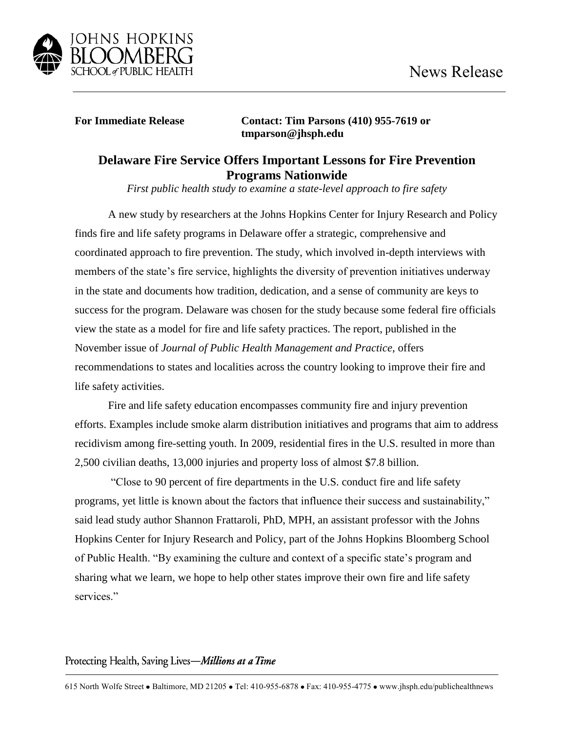

**For Immediate Release Contact: Tim Parsons (410) 955-7619 or tmparson@jhsph.edu**

## **Delaware Fire Service Offers Important Lessons for Fire Prevention Programs Nationwide**

*First public health study to examine a state-level approach to fire safety* 

A new study by researchers at the Johns Hopkins Center for Injury Research and Policy finds fire and life safety programs in Delaware offer a strategic, comprehensive and coordinated approach to fire prevention. The study, which involved in-depth interviews with members of the state's fire service, highlights the diversity of prevention initiatives underway in the state and documents how tradition, dedication, and a sense of community are keys to success for the program. Delaware was chosen for the study because some federal fire officials view the state as a model for fire and life safety practices. The report, published in the November issue of *Journal of Public Health Management and Practice*, offers recommendations to states and localities across the country looking to improve their fire and life safety activities.

Fire and life safety education encompasses community fire and injury prevention efforts. Examples include smoke alarm distribution initiatives and programs that aim to address recidivism among fire-setting youth. In 2009, residential fires in the U.S. resulted in more than 2,500 civilian deaths, 13,000 injuries and property loss of almost \$7.8 billion.

"Close to 90 percent of fire departments in the U.S. conduct fire and life safety programs, yet little is known about the factors that influence their success and sustainability," said lead study author Shannon Frattaroli, PhD, MPH, an assistant professor with the Johns Hopkins Center for Injury Research and Policy, part of the Johns Hopkins Bloomberg School of Public Health. "By examining the culture and context of a specific state's program and sharing what we learn, we hope to help other states improve their own fire and life safety services."

## Protecting Health, Saving Lives-Millions at a Time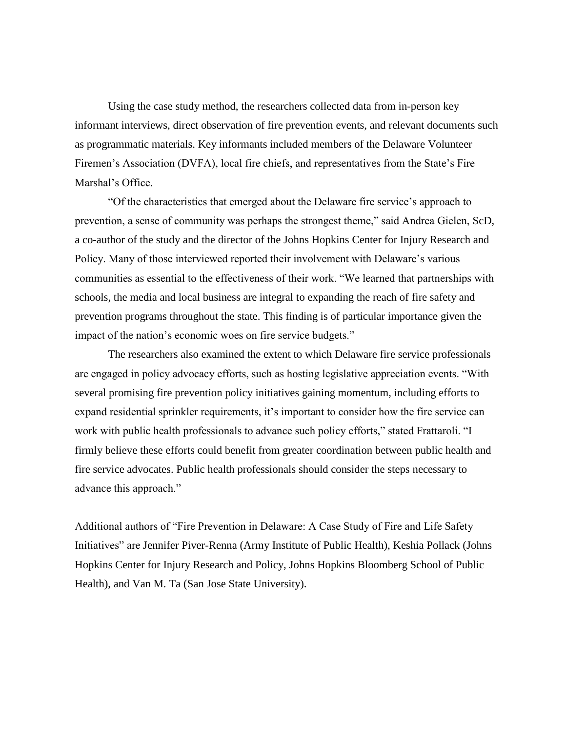Using the case study method, the researchers collected data from in-person key informant interviews, direct observation of fire prevention events, and relevant documents such as programmatic materials. Key informants included members of the Delaware Volunteer Firemen's Association (DVFA), local fire chiefs, and representatives from the State's Fire Marshal's Office.

"Of the characteristics that emerged about the Delaware fire service's approach to prevention, a sense of community was perhaps the strongest theme," said Andrea Gielen, ScD, a co-author of the study and the director of the Johns Hopkins Center for Injury Research and Policy. Many of those interviewed reported their involvement with Delaware's various communities as essential to the effectiveness of their work. "We learned that partnerships with schools, the media and local business are integral to expanding the reach of fire safety and prevention programs throughout the state. This finding is of particular importance given the impact of the nation's economic woes on fire service budgets."

The researchers also examined the extent to which Delaware fire service professionals are engaged in policy advocacy efforts, such as hosting legislative appreciation events. "With several promising fire prevention policy initiatives gaining momentum, including efforts to expand residential sprinkler requirements, it's important to consider how the fire service can work with public health professionals to advance such policy efforts," stated Frattaroli. "I firmly believe these efforts could benefit from greater coordination between public health and fire service advocates. Public health professionals should consider the steps necessary to advance this approach."

Additional authors of "Fire Prevention in Delaware: A Case Study of Fire and Life Safety Initiatives" are Jennifer Piver-Renna (Army Institute of Public Health), Keshia Pollack (Johns Hopkins Center for Injury Research and Policy, Johns Hopkins Bloomberg School of Public Health), and Van M. Ta (San Jose State University).